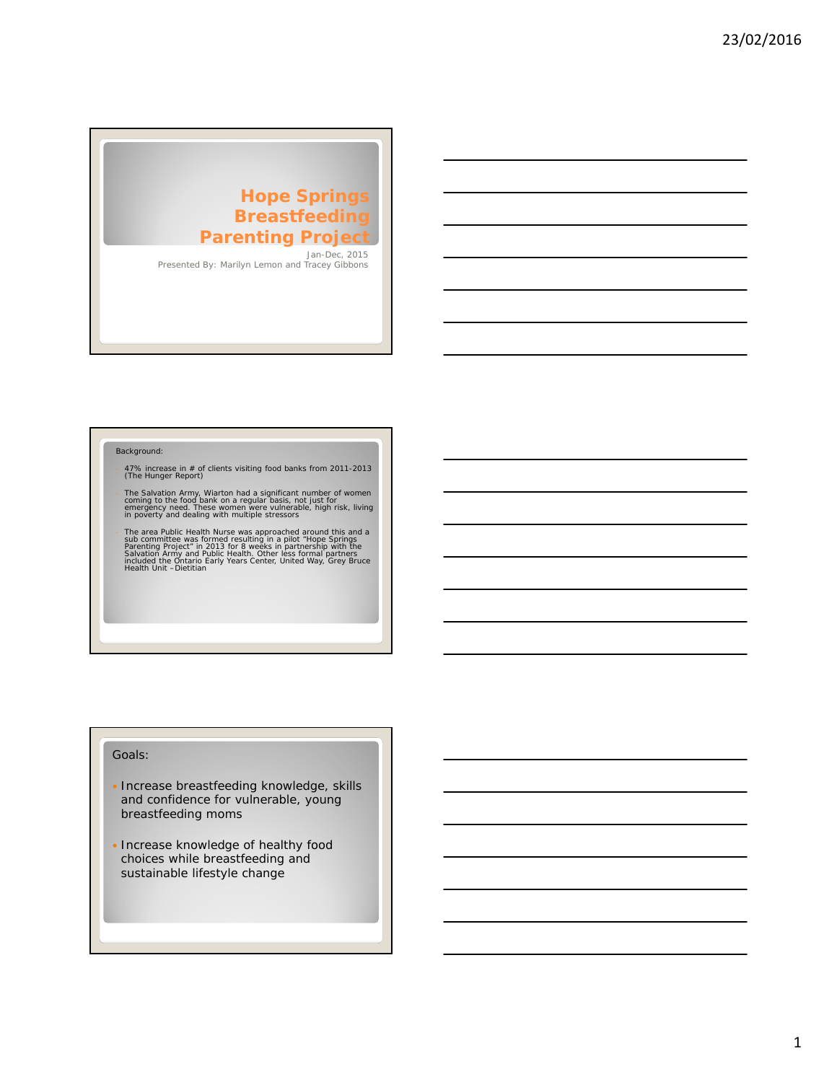# **Hope Springs Breastfeeding Parenting Project**

Jan-Dec, 2015 Presented By: Marilyn Lemon and Tracey Gibbons

#### Background:

- 47% increase in # of clients visiting food banks from 2011-2013 (The Hunger Report)
- The Salvation Army, Wiarton had a significant number of women<br>coming to the food bank on a regular basis, not just for<br>emergency need. These women were vulnerable, high risk, living<br>in poverty and dealing with multiple str
- The area Public Health Nurse was approached around this and a<br>sub committee was formed resulting in a pilot "Hope Springs<br>Parenting Project" in 2013 for 8 weeks in partnership with the<br>Salvation Army and Public Health. Oth

## Goals:

- Increase breastfeeding knowledge, skills and confidence for vulnerable, young breastfeeding moms
- Increase knowledge of healthy food choices while breastfeeding and sustainable lifestyle change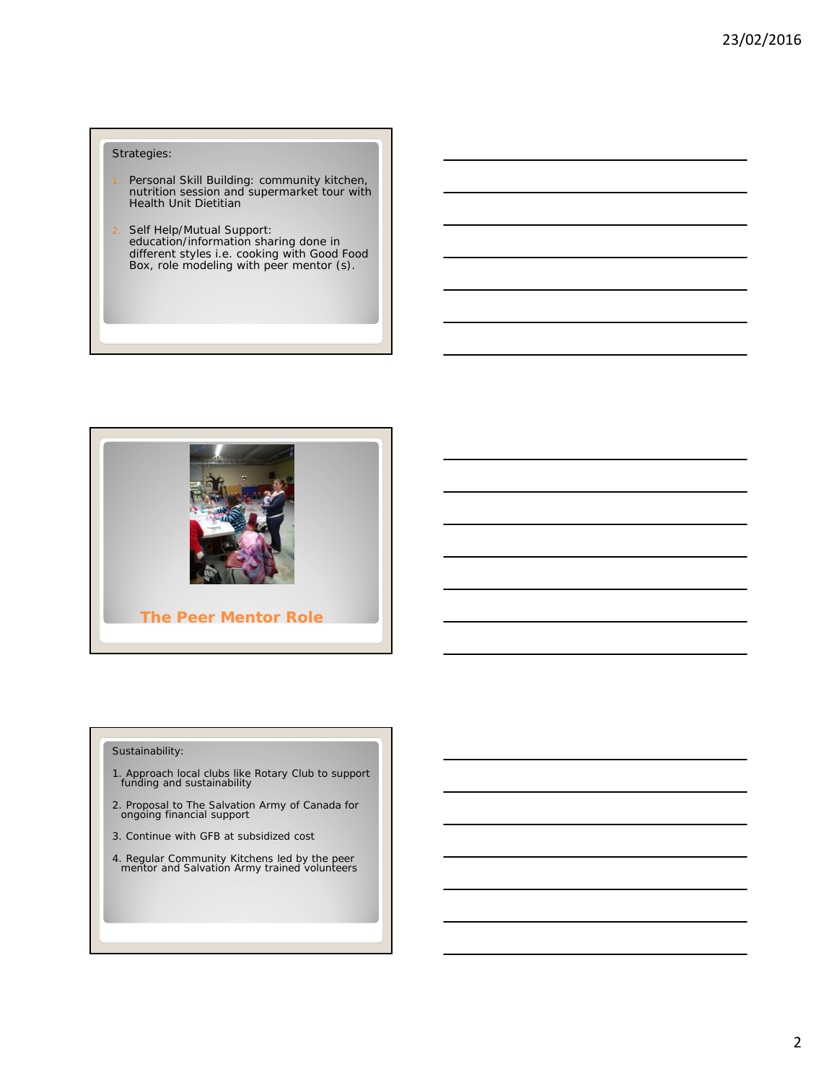### Strategies:

- 1. Personal Skill Building: community kitchen, nutrition session and supermarket tour with Health Unit Dietitian
- 2. Self Help/Mutual Support: education/information sharing done in different styles i.e. cooking with Good Food Box, role modeling with peer mentor (s).



## Sustainability:

- 1. Approach local clubs like Rotary Club to support funding and sustainability
- 2. Proposal to The Salvation Army of Canada for ongoing financial support
- 3. Continue with GFB at subsidized cost
- 4. Regular Community Kitchens led by the peer mentor and Salvation Army trained volunteers